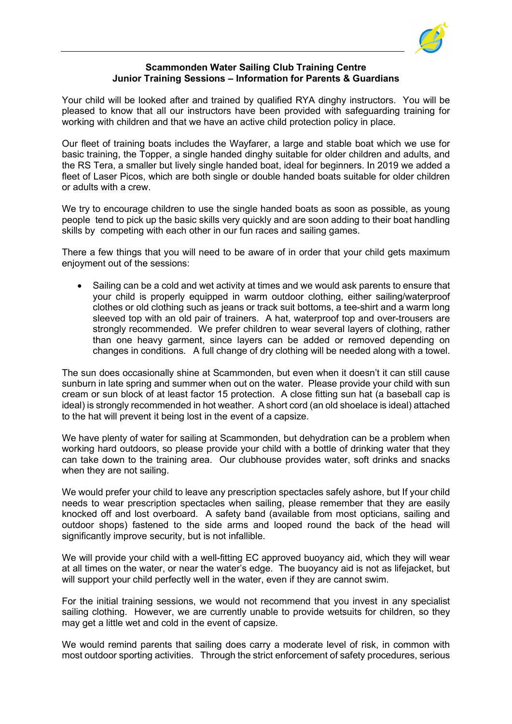

## Scammonden Water Sailing Club Training Centre Junior Training Sessions – Information for Parents & Guardians

Your child will be looked after and trained by qualified RYA dinghy instructors. You will be pleased to know that all our instructors have been provided with safeguarding training for working with children and that we have an active child protection policy in place.

Our fleet of training boats includes the Wayfarer, a large and stable boat which we use for basic training, the Topper, a single handed dinghy suitable for older children and adults, and the RS Tera, a smaller but lively single handed boat, ideal for beginners. In 2019 we added a fleet of Laser Picos, which are both single or double handed boats suitable for older children or adults with a crew.

We try to encourage children to use the single handed boats as soon as possible, as young people tend to pick up the basic skills very quickly and are soon adding to their boat handling skills by competing with each other in our fun races and sailing games.

There a few things that you will need to be aware of in order that your child gets maximum enjoyment out of the sessions:

• Sailing can be a cold and wet activity at times and we would ask parents to ensure that your child is properly equipped in warm outdoor clothing, either sailing/waterproof clothes or old clothing such as jeans or track suit bottoms, a tee-shirt and a warm long sleeved top with an old pair of trainers. A hat, waterproof top and over-trousers are strongly recommended. We prefer children to wear several layers of clothing, rather than one heavy garment, since layers can be added or removed depending on changes in conditions. A full change of dry clothing will be needed along with a towel.

The sun does occasionally shine at Scammonden, but even when it doesn't it can still cause sunburn in late spring and summer when out on the water. Please provide your child with sun cream or sun block of at least factor 15 protection. A close fitting sun hat (a baseball cap is ideal) is strongly recommended in hot weather. A short cord (an old shoelace is ideal) attached to the hat will prevent it being lost in the event of a capsize.

We have plenty of water for sailing at Scammonden, but dehydration can be a problem when working hard outdoors, so please provide your child with a bottle of drinking water that they can take down to the training area. Our clubhouse provides water, soft drinks and snacks when they are not sailing.

We would prefer your child to leave any prescription spectacles safely ashore, but If your child needs to wear prescription spectacles when sailing, please remember that they are easily knocked off and lost overboard. A safety band (available from most opticians, sailing and outdoor shops) fastened to the side arms and looped round the back of the head will significantly improve security, but is not infallible.

We will provide your child with a well-fitting EC approved buoyancy aid, which they will wear at all times on the water, or near the water's edge. The buoyancy aid is not as lifejacket, but will support your child perfectly well in the water, even if they are cannot swim.

For the initial training sessions, we would not recommend that you invest in any specialist sailing clothing. However, we are currently unable to provide wetsuits for children, so they may get a little wet and cold in the event of capsize.

We would remind parents that sailing does carry a moderate level of risk, in common with most outdoor sporting activities. Through the strict enforcement of safety procedures, serious